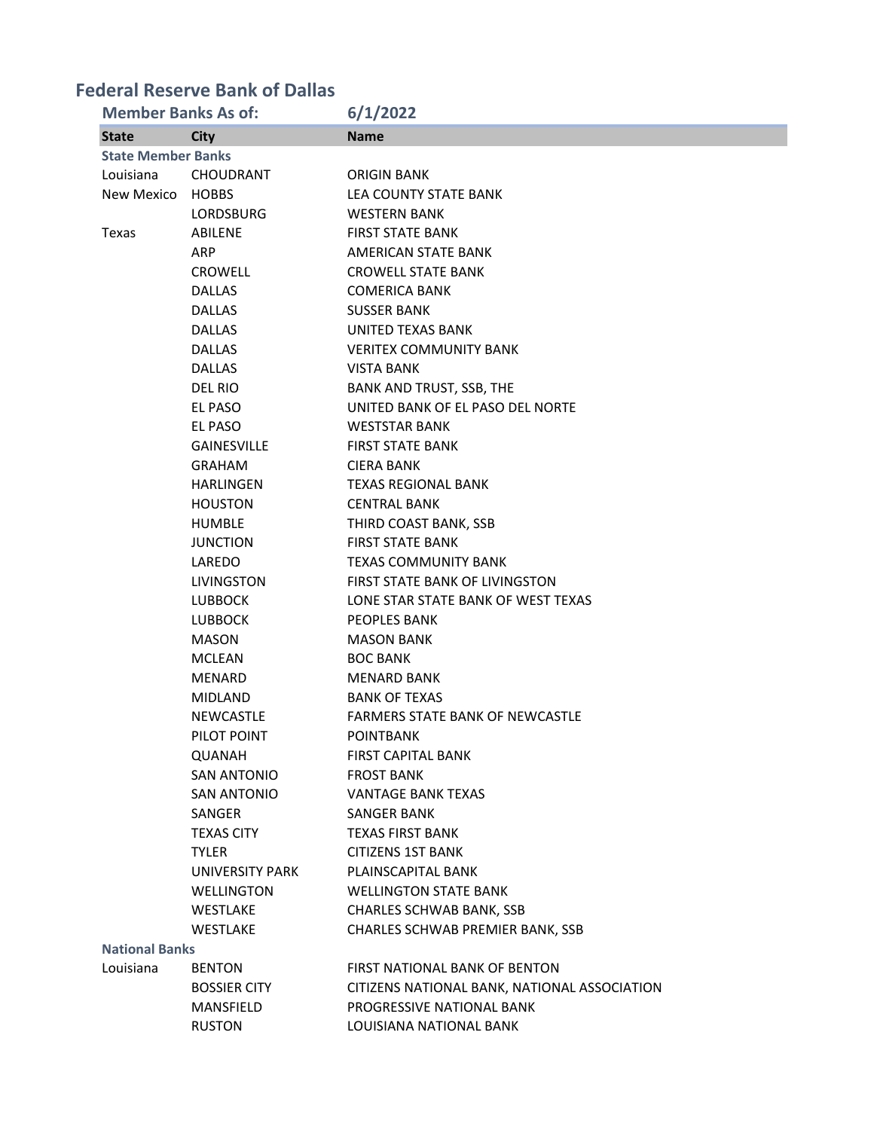# **Federal Reserve Bank of Dallas**

| <b>Member Banks As of:</b> |                     | 6/1/2022                                     |
|----------------------------|---------------------|----------------------------------------------|
| <b>State</b>               | <b>City</b>         | <b>Name</b>                                  |
| <b>State Member Banks</b>  |                     |                                              |
| Louisiana                  | <b>CHOUDRANT</b>    | <b>ORIGIN BANK</b>                           |
| New Mexico                 | <b>HOBBS</b>        | <b>LEA COUNTY STATE BANK</b>                 |
|                            | LORDSBURG           | <b>WESTERN BANK</b>                          |
| Texas                      | ABILENE             | <b>FIRST STATE BANK</b>                      |
|                            | <b>ARP</b>          | AMERICAN STATE BANK                          |
|                            | CROWELL             | <b>CROWELL STATE BANK</b>                    |
|                            | <b>DALLAS</b>       | <b>COMERICA BANK</b>                         |
|                            | <b>DALLAS</b>       | <b>SUSSER BANK</b>                           |
|                            | <b>DALLAS</b>       | UNITED TEXAS BANK                            |
|                            | <b>DALLAS</b>       | <b>VERITEX COMMUNITY BANK</b>                |
|                            | <b>DALLAS</b>       | <b>VISTA BANK</b>                            |
|                            | DEL RIO             | BANK AND TRUST, SSB, THE                     |
|                            | EL PASO             | UNITED BANK OF EL PASO DEL NORTE             |
|                            | EL PASO             | <b>WESTSTAR BANK</b>                         |
|                            | <b>GAINESVILLE</b>  | <b>FIRST STATE BANK</b>                      |
|                            | <b>GRAHAM</b>       | <b>CIERA BANK</b>                            |
|                            | <b>HARLINGEN</b>    | <b>TEXAS REGIONAL BANK</b>                   |
|                            | <b>HOUSTON</b>      | <b>CENTRAL BANK</b>                          |
|                            | <b>HUMBLE</b>       | THIRD COAST BANK, SSB                        |
|                            | <b>JUNCTION</b>     | <b>FIRST STATE BANK</b>                      |
|                            | LAREDO              | <b>TEXAS COMMUNITY BANK</b>                  |
|                            | <b>LIVINGSTON</b>   | <b>FIRST STATE BANK OF LIVINGSTON</b>        |
|                            | <b>LUBBOCK</b>      | LONE STAR STATE BANK OF WEST TEXAS           |
|                            | <b>LUBBOCK</b>      | <b>PEOPLES BANK</b>                          |
|                            | <b>MASON</b>        | <b>MASON BANK</b>                            |
|                            | <b>MCLEAN</b>       | <b>BOC BANK</b>                              |
|                            | <b>MENARD</b>       | <b>MENARD BANK</b>                           |
|                            | <b>MIDLAND</b>      | <b>BANK OF TEXAS</b>                         |
|                            | <b>NEWCASTLE</b>    | <b>FARMERS STATE BANK OF NEWCASTLE</b>       |
|                            | PILOT POINT         | <b>POINTBANK</b>                             |
|                            | QUANAH              | <b>FIRST CAPITAL BANK</b>                    |
|                            | SAN ANTONIO         | <b>FROST BANK</b>                            |
|                            | <b>SAN ANTONIO</b>  | <b>VANTAGE BANK TEXAS</b>                    |
|                            | SANGER              | <b>SANGER BANK</b>                           |
|                            | <b>TEXAS CITY</b>   | <b>TEXAS FIRST BANK</b>                      |
|                            | <b>TYLER</b>        | <b>CITIZENS 1ST BANK</b>                     |
|                            | UNIVERSITY PARK     | PLAINSCAPITAL BANK                           |
|                            | <b>WELLINGTON</b>   | <b>WELLINGTON STATE BANK</b>                 |
|                            | WESTLAKE            | <b>CHARLES SCHWAB BANK, SSB</b>              |
|                            | WESTLAKE            | CHARLES SCHWAB PREMIER BANK, SSB             |
| <b>National Banks</b>      |                     |                                              |
| Louisiana                  | <b>BENTON</b>       | <b>FIRST NATIONAL BANK OF BENTON</b>         |
|                            | <b>BOSSIER CITY</b> | CITIZENS NATIONAL BANK, NATIONAL ASSOCIATION |
|                            | MANSFIELD           | PROGRESSIVE NATIONAL BANK                    |
|                            | <b>RUSTON</b>       | LOUISIANA NATIONAL BANK                      |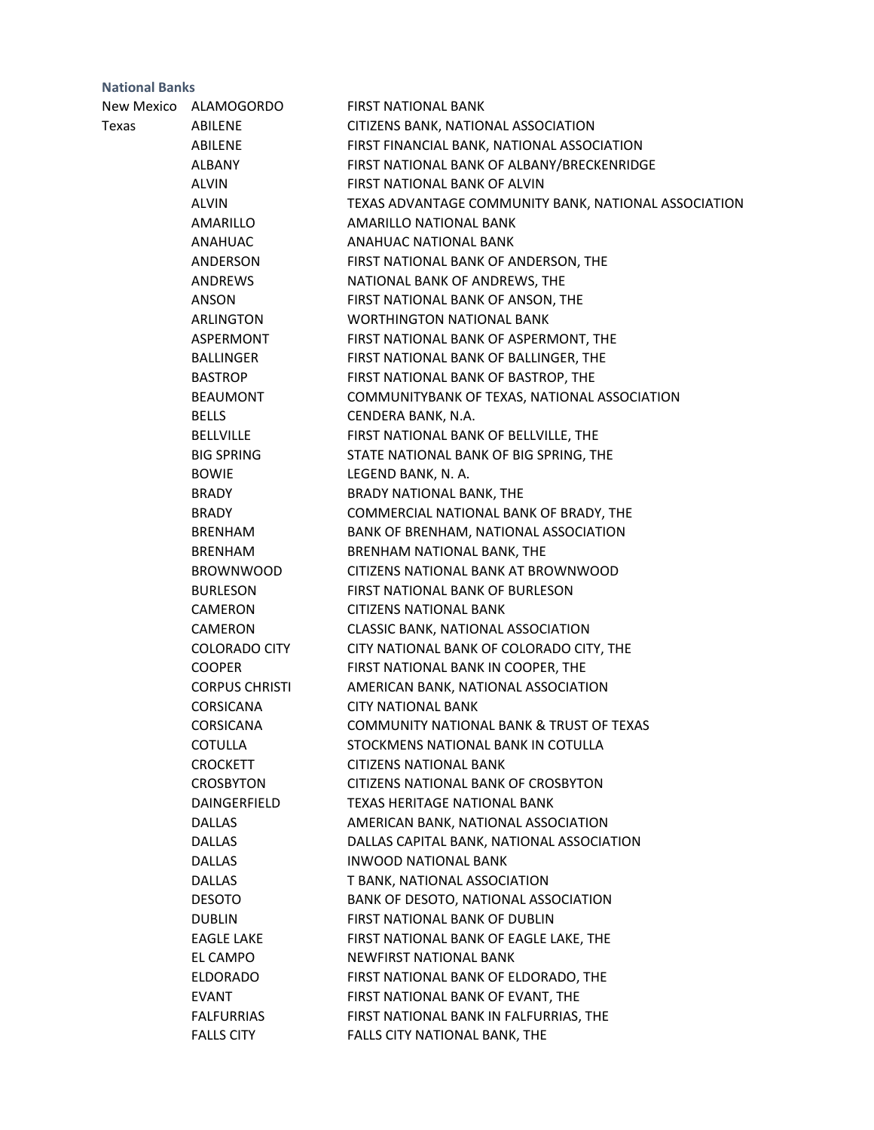|       | New Mexico ALAMOGORDO | <b>FIRST NATIONAL BANK</b>                           |
|-------|-----------------------|------------------------------------------------------|
| Texas | ABILENE               | CITIZENS BANK, NATIONAL ASSOCIATION                  |
|       | ABILENE               | FIRST FINANCIAL BANK, NATIONAL ASSOCIATION           |
|       | ALBANY                | FIRST NATIONAL BANK OF ALBANY/BRECKENRIDGE           |
|       | <b>ALVIN</b>          | FIRST NATIONAL BANK OF ALVIN                         |
|       | <b>ALVIN</b>          | TEXAS ADVANTAGE COMMUNITY BANK, NATIONAL ASSOCIATION |
|       | AMARILLO              | AMARILLO NATIONAL BANK                               |
|       | ANAHUAC               | <b>ANAHUAC NATIONAL BANK</b>                         |
|       | ANDERSON              | FIRST NATIONAL BANK OF ANDERSON, THE                 |
|       | ANDREWS               | NATIONAL BANK OF ANDREWS, THE                        |
|       | ANSON                 | FIRST NATIONAL BANK OF ANSON, THE                    |
|       | ARLINGTON             | WORTHINGTON NATIONAL BANK                            |
|       | ASPERMONT             | FIRST NATIONAL BANK OF ASPERMONT, THE                |
|       | BALLINGER             | FIRST NATIONAL BANK OF BALLINGER, THE                |
|       | <b>BASTROP</b>        | FIRST NATIONAL BANK OF BASTROP, THE                  |
|       | <b>BEAUMONT</b>       | COMMUNITYBANK OF TEXAS, NATIONAL ASSOCIATION         |
|       | <b>BELLS</b>          | CENDERA BANK, N.A.                                   |
|       | BELLVILLE             | FIRST NATIONAL BANK OF BELLVILLE, THE                |
|       | <b>BIG SPRING</b>     | STATE NATIONAL BANK OF BIG SPRING, THE               |
|       | <b>BOWIE</b>          | LEGEND BANK, N. A.                                   |
|       | BRADY                 | BRADY NATIONAL BANK, THE                             |
|       | <b>BRADY</b>          | COMMERCIAL NATIONAL BANK OF BRADY, THE               |
|       | BRENHAM               | BANK OF BRENHAM, NATIONAL ASSOCIATION                |
|       | BRENHAM               | BRENHAM NATIONAL BANK, THE                           |
|       | <b>BROWNWOOD</b>      | CITIZENS NATIONAL BANK AT BROWNWOOD                  |
|       | <b>BURLESON</b>       | FIRST NATIONAL BANK OF BURLESON                      |
|       | CAMERON               | <b>CITIZENS NATIONAL BANK</b>                        |
|       | CAMERON               | CLASSIC BANK, NATIONAL ASSOCIATION                   |
|       | <b>COLORADO CITY</b>  | CITY NATIONAL BANK OF COLORADO CITY, THE             |
|       | <b>COOPER</b>         | FIRST NATIONAL BANK IN COOPER, THE                   |
|       | <b>CORPUS CHRISTI</b> | AMERICAN BANK, NATIONAL ASSOCIATION                  |
|       | CORSICANA             | <b>CITY NATIONAL BANK</b>                            |
|       | <b>CORSICANA</b>      | <b>COMMUNITY NATIONAL BANK &amp; TRUST OF TEXAS</b>  |
|       | <b>COTULLA</b>        | STOCKMENS NATIONAL BANK IN COTULLA                   |
|       | <b>CROCKETT</b>       | <b>CITIZENS NATIONAL BANK</b>                        |
|       | <b>CROSBYTON</b>      | CITIZENS NATIONAL BANK OF CROSBYTON                  |
|       | DAINGERFIELD          | <b>TEXAS HERITAGE NATIONAL BANK</b>                  |
|       | <b>DALLAS</b>         | AMERICAN BANK, NATIONAL ASSOCIATION                  |
|       | DALLAS                | DALLAS CAPITAL BANK, NATIONAL ASSOCIATION            |
|       | <b>DALLAS</b>         | <b>INWOOD NATIONAL BANK</b>                          |
|       | <b>DALLAS</b>         | T BANK, NATIONAL ASSOCIATION                         |
|       | <b>DESOTO</b>         | BANK OF DESOTO, NATIONAL ASSOCIATION                 |
|       | <b>DUBLIN</b>         | FIRST NATIONAL BANK OF DUBLIN                        |
|       | <b>EAGLE LAKE</b>     | FIRST NATIONAL BANK OF EAGLE LAKE, THE               |
|       | EL CAMPO              | NEWFIRST NATIONAL BANK                               |
|       | <b>ELDORADO</b>       | FIRST NATIONAL BANK OF ELDORADO, THE                 |
|       | EVANT                 | FIRST NATIONAL BANK OF EVANT, THE                    |
|       | <b>FALFURRIAS</b>     | FIRST NATIONAL BANK IN FALFURRIAS, THE               |
|       | <b>FALLS CITY</b>     | FALLS CITY NATIONAL BANK, THE                        |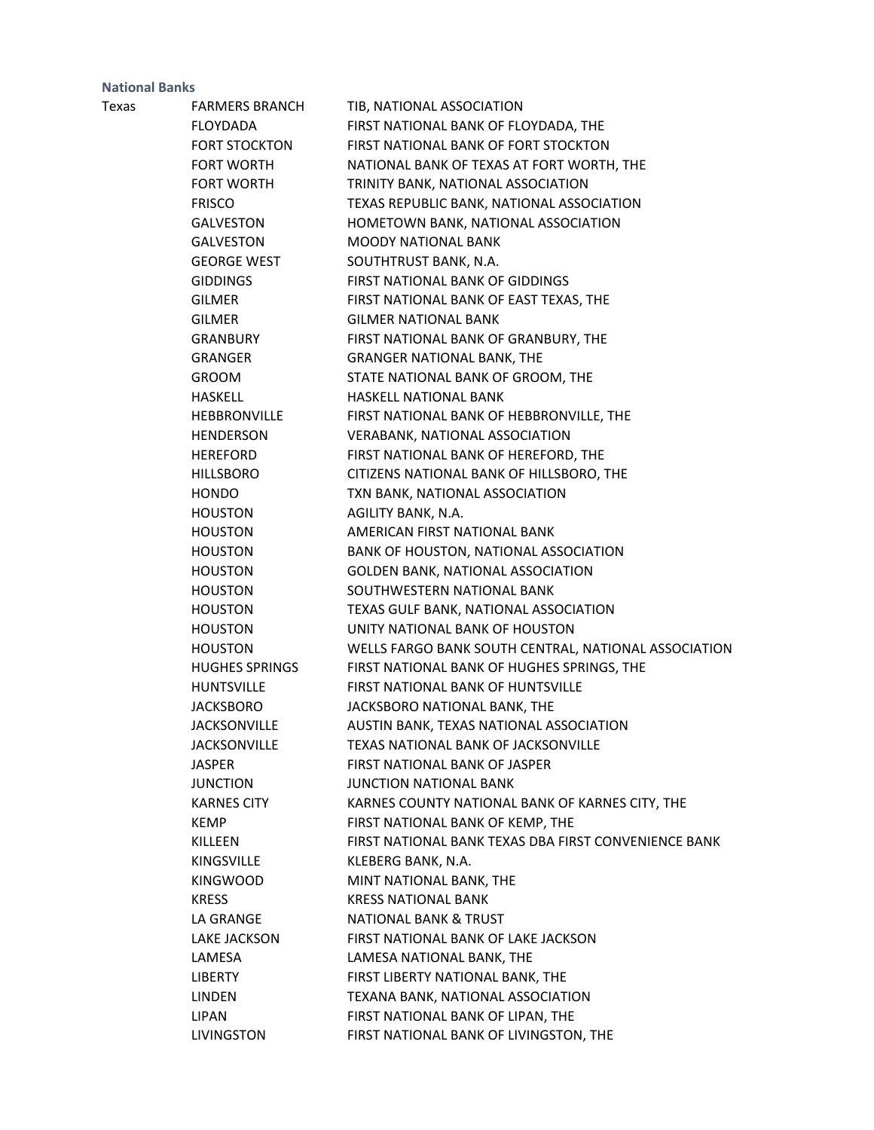| Texas | <b>FARMERS BRANCH</b> | TIB, NATIONAL ASSOCIATION                            |
|-------|-----------------------|------------------------------------------------------|
|       | <b>FLOYDADA</b>       | FIRST NATIONAL BANK OF FLOYDADA, THE                 |
|       | <b>FORT STOCKTON</b>  | FIRST NATIONAL BANK OF FORT STOCKTON                 |
|       | FORT WORTH            | NATIONAL BANK OF TEXAS AT FORT WORTH, THE            |
|       | <b>FORT WORTH</b>     | TRINITY BANK, NATIONAL ASSOCIATION                   |
|       | <b>FRISCO</b>         | TEXAS REPUBLIC BANK, NATIONAL ASSOCIATION            |
|       | GALVESTON             | HOMETOWN BANK, NATIONAL ASSOCIATION                  |
|       | <b>GALVESTON</b>      | <b>MOODY NATIONAL BANK</b>                           |
|       | <b>GEORGE WEST</b>    | SOUTHTRUST BANK, N.A.                                |
|       | <b>GIDDINGS</b>       | FIRST NATIONAL BANK OF GIDDINGS                      |
|       | <b>GILMER</b>         | FIRST NATIONAL BANK OF EAST TEXAS, THE               |
|       | <b>GILMER</b>         | <b>GILMER NATIONAL BANK</b>                          |
|       | GRANBURY              | FIRST NATIONAL BANK OF GRANBURY, THE                 |
|       | GRANGER               | <b>GRANGER NATIONAL BANK, THE</b>                    |
|       | <b>GROOM</b>          | STATE NATIONAL BANK OF GROOM, THE                    |
|       | <b>HASKELL</b>        | HASKELL NATIONAL BANK                                |
|       | <b>HEBBRONVILLE</b>   | FIRST NATIONAL BANK OF HEBBRONVILLE, THE             |
|       | <b>HENDERSON</b>      | VERABANK, NATIONAL ASSOCIATION                       |
|       | <b>HEREFORD</b>       | FIRST NATIONAL BANK OF HEREFORD, THE                 |
|       | <b>HILLSBORO</b>      | CITIZENS NATIONAL BANK OF HILLSBORO, THE             |
|       | <b>HONDO</b>          | TXN BANK, NATIONAL ASSOCIATION                       |
|       | <b>HOUSTON</b>        | AGILITY BANK, N.A.                                   |
|       | <b>HOUSTON</b>        | AMERICAN FIRST NATIONAL BANK                         |
|       | <b>HOUSTON</b>        | BANK OF HOUSTON, NATIONAL ASSOCIATION                |
|       | <b>HOUSTON</b>        | GOLDEN BANK, NATIONAL ASSOCIATION                    |
|       | <b>HOUSTON</b>        | SOUTHWESTERN NATIONAL BANK                           |
|       | <b>HOUSTON</b>        | TEXAS GULF BANK, NATIONAL ASSOCIATION                |
|       | <b>HOUSTON</b>        | UNITY NATIONAL BANK OF HOUSTON                       |
|       | <b>HOUSTON</b>        | WELLS FARGO BANK SOUTH CENTRAL, NATIONAL ASSOCIATION |
|       | <b>HUGHES SPRINGS</b> | FIRST NATIONAL BANK OF HUGHES SPRINGS, THE           |
|       | <b>HUNTSVILLE</b>     | FIRST NATIONAL BANK OF HUNTSVILLE                    |
|       | <b>JACKSBORO</b>      | JACKSBORO NATIONAL BANK, THE                         |
|       | <b>JACKSONVILLE</b>   | AUSTIN BANK, TEXAS NATIONAL ASSOCIATION              |
|       | <b>JACKSONVILLE</b>   | TEXAS NATIONAL BANK OF JACKSONVILLE                  |
|       | <b>JASPER</b>         | <b>FIRST NATIONAL BANK OF JASPER</b>                 |
|       | <b>JUNCTION</b>       | <b>JUNCTION NATIONAL BANK</b>                        |
|       | <b>KARNES CITY</b>    | KARNES COUNTY NATIONAL BANK OF KARNES CITY, THE      |
|       | <b>KEMP</b>           | FIRST NATIONAL BANK OF KEMP, THE                     |
|       | KILLEEN               | FIRST NATIONAL BANK TEXAS DBA FIRST CONVENIENCE BANK |
|       | <b>KINGSVILLE</b>     | KLEBERG BANK, N.A.                                   |
|       | <b>KINGWOOD</b>       | MINT NATIONAL BANK, THE                              |
|       | <b>KRESS</b>          | <b>KRESS NATIONAL BANK</b>                           |
|       | LA GRANGE             | <b>NATIONAL BANK &amp; TRUST</b>                     |
|       | LAKE JACKSON          | FIRST NATIONAL BANK OF LAKE JACKSON                  |
|       | LAMESA                | LAMESA NATIONAL BANK, THE                            |
|       | <b>LIBERTY</b>        | FIRST LIBERTY NATIONAL BANK, THE                     |
|       | LINDEN                | TEXANA BANK, NATIONAL ASSOCIATION                    |
|       | <b>LIPAN</b>          | FIRST NATIONAL BANK OF LIPAN, THE                    |
|       | LIVINGSTON            | FIRST NATIONAL BANK OF LIVINGSTON, THE               |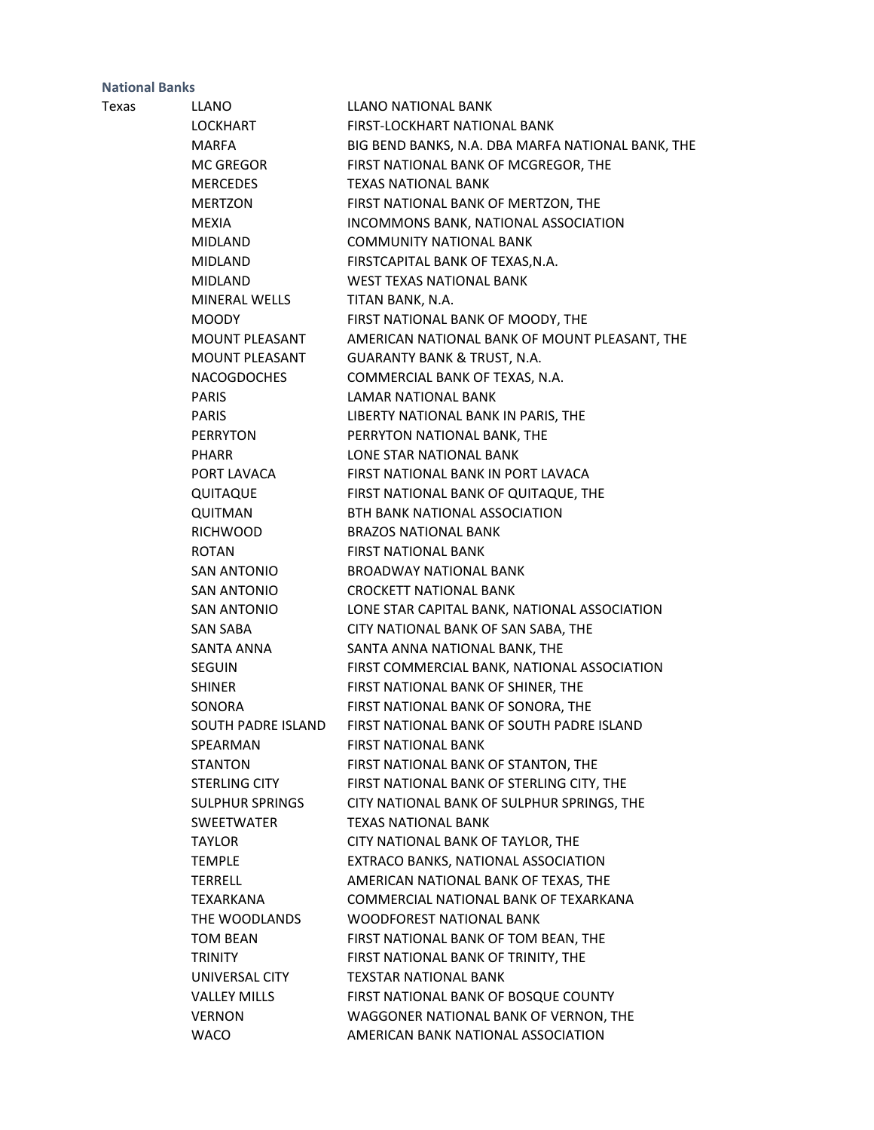| Texas | <b>LLANO</b>           | LLANO NATIONAL BANK                               |
|-------|------------------------|---------------------------------------------------|
|       | LOCKHART               | FIRST-LOCKHART NATIONAL BANK                      |
|       | <b>MARFA</b>           | BIG BEND BANKS, N.A. DBA MARFA NATIONAL BANK, THE |
|       | MC GREGOR              | FIRST NATIONAL BANK OF MCGREGOR, THE              |
|       | MERCEDES               | <b>TEXAS NATIONAL BANK</b>                        |
|       | MERTZON                | FIRST NATIONAL BANK OF MERTZON, THE               |
|       | <b>MEXIA</b>           | INCOMMONS BANK, NATIONAL ASSOCIATION              |
|       | MIDLAND                | <b>COMMUNITY NATIONAL BANK</b>                    |
|       | MIDLAND                | FIRSTCAPITAL BANK OF TEXAS, N.A.                  |
|       | <b>MIDLAND</b>         | WEST TEXAS NATIONAL BANK                          |
|       | MINERAL WELLS          | TITAN BANK, N.A.                                  |
|       | <b>MOODY</b>           | FIRST NATIONAL BANK OF MOODY, THE                 |
|       | MOUNT PLEASANT         | AMERICAN NATIONAL BANK OF MOUNT PLEASANT, THE     |
|       | MOUNT PLEASANT         | <b>GUARANTY BANK &amp; TRUST, N.A.</b>            |
|       | <b>NACOGDOCHES</b>     | COMMERCIAL BANK OF TEXAS, N.A.                    |
|       | <b>PARIS</b>           | LAMAR NATIONAL BANK                               |
|       | <b>PARIS</b>           | LIBERTY NATIONAL BANK IN PARIS, THE               |
|       | PERRYTON               | PERRYTON NATIONAL BANK, THE                       |
|       | <b>PHARR</b>           | LONE STAR NATIONAL BANK                           |
|       | PORT LAVACA            | FIRST NATIONAL BANK IN PORT LAVACA                |
|       | QUITAQUE               | FIRST NATIONAL BANK OF QUITAQUE, THE              |
|       | <b>QUITMAN</b>         | BTH BANK NATIONAL ASSOCIATION                     |
|       | RICHWOOD               | <b>BRAZOS NATIONAL BANK</b>                       |
|       | <b>ROTAN</b>           | <b>FIRST NATIONAL BANK</b>                        |
|       | SAN ANTONIO            | <b>BROADWAY NATIONAL BANK</b>                     |
|       | SAN ANTONIO            | <b>CROCKETT NATIONAL BANK</b>                     |
|       | <b>SAN ANTONIO</b>     | LONE STAR CAPITAL BANK, NATIONAL ASSOCIATION      |
|       | <b>SAN SABA</b>        | CITY NATIONAL BANK OF SAN SABA, THE               |
|       | SANTA ANNA             | SANTA ANNA NATIONAL BANK, THE                     |
|       | <b>SEGUIN</b>          | FIRST COMMERCIAL BANK, NATIONAL ASSOCIATION       |
|       | <b>SHINER</b>          | FIRST NATIONAL BANK OF SHINER, THE                |
|       | SONORA                 | FIRST NATIONAL BANK OF SONORA, THE                |
|       | SOUTH PADRE ISLAND     | FIRST NATIONAL BANK OF SOUTH PADRE ISLAND         |
|       | SPEARMAN               | <b>FIRST NATIONAL BANK</b>                        |
|       | <b>STANTON</b>         | FIRST NATIONAL BANK OF STANTON, THE               |
|       | STERLING CITY          | FIRST NATIONAL BANK OF STERLING CITY, THE         |
|       | <b>SULPHUR SPRINGS</b> | CITY NATIONAL BANK OF SULPHUR SPRINGS, THE        |
|       | <b>SWEETWATER</b>      | <b>TEXAS NATIONAL BANK</b>                        |
|       | <b>TAYLOR</b>          | CITY NATIONAL BANK OF TAYLOR, THE                 |
|       | <b>TEMPLE</b>          | EXTRACO BANKS, NATIONAL ASSOCIATION               |
|       | <b>TERRELL</b>         | AMERICAN NATIONAL BANK OF TEXAS, THE              |
|       | TEXARKANA              | COMMERCIAL NATIONAL BANK OF TEXARKANA             |
|       | THE WOODLANDS          | WOODFOREST NATIONAL BANK                          |
|       | <b>TOM BEAN</b>        | FIRST NATIONAL BANK OF TOM BEAN, THE              |
|       | <b>TRINITY</b>         | FIRST NATIONAL BANK OF TRINITY, THE               |
|       | UNIVERSAL CITY         | <b>TEXSTAR NATIONAL BANK</b>                      |
|       | <b>VALLEY MILLS</b>    | FIRST NATIONAL BANK OF BOSQUE COUNTY              |
|       | <b>VERNON</b>          | WAGGONER NATIONAL BANK OF VERNON, THE             |
|       | <b>WACO</b>            | AMERICAN BANK NATIONAL ASSOCIATION                |